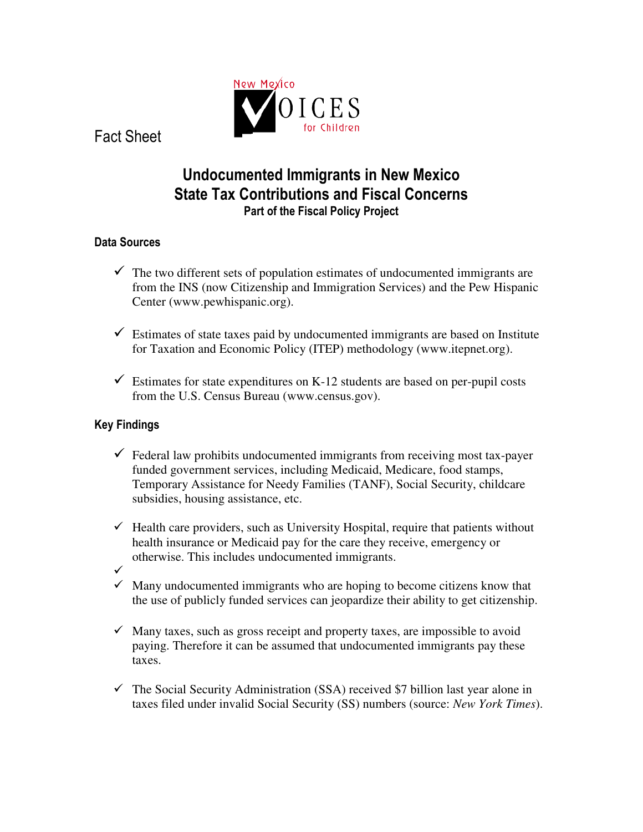

Fact Sheet

## Undocumented Immigrants in New Mexico State Tax Contributions and Fiscal Concerns Part of the Fiscal Policy Project

## Data Sources

- $\checkmark$  The two different sets of population estimates of undocumented immigrants are from the INS (now Citizenship and Immigration Services) and the Pew Hispanic Center (www.pewhispanic.org).
- $\checkmark$  Estimates of state taxes paid by undocumented immigrants are based on Institute for Taxation and Economic Policy (ITEP) methodology (www.itepnet.org).
- $\checkmark$  Estimates for state expenditures on K-12 students are based on per-pupil costs from the U.S. Census Bureau (www.census.gov).

## Key Findings

- $\checkmark$  Federal law prohibits undocumented immigrants from receiving most tax-payer funded government services, including Medicaid, Medicare, food stamps, Temporary Assistance for Needy Families (TANF), Social Security, childcare subsidies, housing assistance, etc.
- $\checkmark$  Health care providers, such as University Hospital, require that patients without health insurance or Medicaid pay for the care they receive, emergency or otherwise. This includes undocumented immigrants.
- $\checkmark$
- $\checkmark$  Many undocumented immigrants who are hoping to become citizens know that the use of publicly funded services can jeopardize their ability to get citizenship.
- $\checkmark$  Many taxes, such as gross receipt and property taxes, are impossible to avoid paying. Therefore it can be assumed that undocumented immigrants pay these taxes.
- $\checkmark$  The Social Security Administration (SSA) received \$7 billion last year alone in taxes filed under invalid Social Security (SS) numbers (source: *New York Times*).